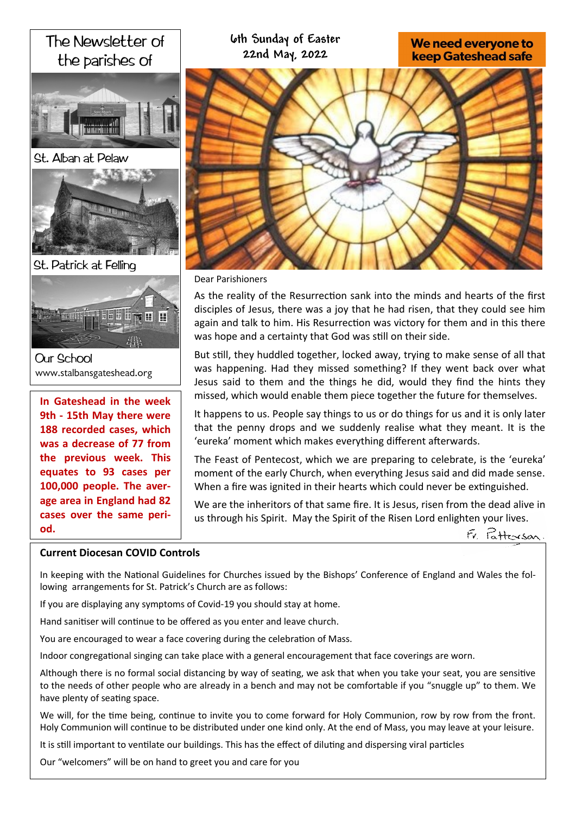# The Newsletter of the parishes of St. Alban at Pelaw St. Patrick at Felling Fee a er ▼ 田 田 **IN THE** 肆 **Our School** www.stalbansgateshead.org **In Gateshead in the week 9th - 15th May there were**

**188 recorded cases, which was a decrease of 77 from the previous week. This equates to 93 cases per 100,000 people. The average area in England had 82 cases over the same period.** 

# **6th Sunday of Easter** We need everyone to **22nd May, 2022 keep Gateshead safe**

#### Dear Parishioners

As the reality of the Resurrection sank into the minds and hearts of the first disciples of Jesus, there was a joy that he had risen, that they could see him again and talk to him. His Resurrection was victory for them and in this there was hope and a certainty that God was still on their side.

But still, they huddled together, locked away, trying to make sense of all that was happening. Had they missed something? If they went back over what Jesus said to them and the things he did, would they find the hints they missed, which would enable them piece together the future for themselves.

It happens to us. People say things to us or do things for us and it is only later that the penny drops and we suddenly realise what they meant. It is the 'eureka' moment which makes everything different afterwards.

The Feast of Pentecost, which we are preparing to celebrate, is the 'eureka' moment of the early Church, when everything Jesus said and did made sense. When a fire was ignited in their hearts which could never be extinguished.

We are the inheritors of that same fire. It is Jesus, risen from the dead alive in us through his Spirit. May the Spirit of the Risen Lord enlighten your lives.



### **Current Diocesan COVID Controls**

In keeping with the National Guidelines for Churches issued by the Bishops' Conference of England and Wales the following arrangements for St. Patrick's Church are as follows:

If you are displaying any symptoms of Covid-19 you should stay at home.

Hand sanitiser will continue to be offered as you enter and leave church.

You are encouraged to wear a face covering during the celebration of Mass.

Indoor congregational singing can take place with a general encouragement that face coverings are worn.

Although there is no formal social distancing by way of seating, we ask that when you take your seat, you are sensitive to the needs of other people who are already in a bench and may not be comfortable if you "snuggle up" to them. We have plenty of seating space.

We will, for the time being, continue to invite you to come forward for Holy Communion, row by row from the front. Holy Communion will continue to be distributed under one kind only. At the end of Mass, you may leave at your leisure.

It is still important to ventilate our buildings. This has the effect of diluting and dispersing viral particles

Our "welcomers" will be on hand to greet you and care for you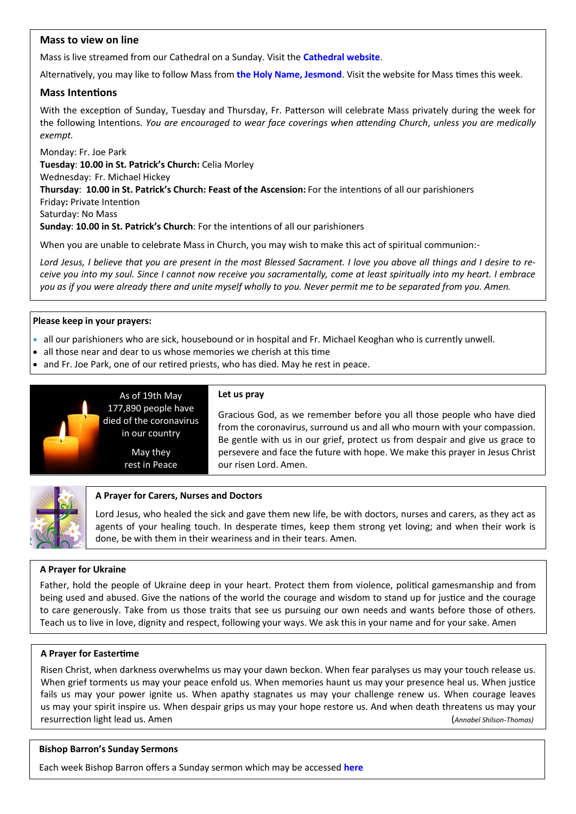# **Mass to view on line**

Mass is live streamed from our Cathedral on a Sunday. Visit the **[Cathedral website](https://www.youtube.com/channel/UC12EvW0Eqg-cFTh5i2y_EQw)**.

Alternatively, you may like to follow Mass from **the [Holy Name, Jesmond](https://www.youtube.com/channel/UCnVss0mkVR2GKS5VPJOEsDA)**. Visit the website for Mass times this week.

### **Mass Intentions**

With the exception of Sunday, Tuesday and Thursday, Fr. Patterson will celebrate Mass privately during the week for the following Intentions. *You are encouraged to wear face coverings when attending Church*, *unless you are medically exempt.*

Monday: Fr. Joe Park **Tuesday**: **10.00 in St. Patrick's Church:** Celia Morley Wednesday: Fr. Michael Hickey **Thursday**: **10.00 in St. Patrick's Church: Feast of the Ascension:** For the intentions of all our parishioners Friday**:** Private Intention Saturday: No Mass **Sunday**: **10.00 in St. Patrick's Church**: For the intentions of all our parishioners

When you are unable to celebrate Mass in Church, you may wish to make this act of spiritual communion:-

*Lord Jesus, I believe that you are present in the most Blessed Sacrament. I love you above all things and I desire to receive you into my soul. Since I cannot now receive you sacramentally, come at least spiritually into my heart. I embrace you as if you were already there and unite myself wholly to you. Never permit me to be separated from you. Amen.*

#### **Please keep in your prayers:**

- all our parishioners who are sick, housebound or in hospital and Fr. Michael Keoghan who is currently unwell.
- all those near and dear to us whose memories we cherish at this time

As of 19th May

in our country May they rest in Peace

• and Fr. Joe Park, one of our retired priests, who has died. May he rest in peace.



#### **Let us pray**

Gracious God, as we remember before you all those people who have died from the coronavirus, surround us and all who mourn with your compassion. Be gentle with us in our grief, protect us from despair and give us grace to persevere and face the future with hope. We make this prayer in Jesus Christ our risen Lord. Amen.



#### **A Prayer for Carers, Nurses and Doctors**

Lord Jesus, who healed the sick and gave them new life, be with doctors, nurses and carers, as they act as agents of your healing touch. In desperate times, keep them strong yet loving; and when their work is done, be with them in their weariness and in their tears. Amen.

### **A Prayer for Ukraine**

Father, hold the people of Ukraine deep in your heart. Protect them from violence, political gamesmanship and from being used and abused. Give the nations of the world the courage and wisdom to stand up for justice and the courage to care generously. Take from us those traits that see us pursuing our own needs and wants before those of others. Teach us to live in love, dignity and respect, following your ways. We ask this in your name and for your sake. Amen

#### **A Prayer for Eastertime**

Risen Christ, when darkness overwhelms us may your dawn beckon. When fear paralyses us may your touch release us. When grief torments us may your peace enfold us. When memories haunt us may your presence heal us. When justice fails us may your power ignite us. When apathy stagnates us may your challenge renew us. When courage leaves us may your spirit inspire us. When despair grips us may your hope restore us. And when death threatens us may your resurrection light lead us. Amen (*Annabel Shilson-Thomas)*

#### **Bishop Barron's Sunday Sermons**

Each week Bishop Barron offers a Sunday sermon which may be accessed **[here](https://www.wordonfire.org/videos/sermons/)**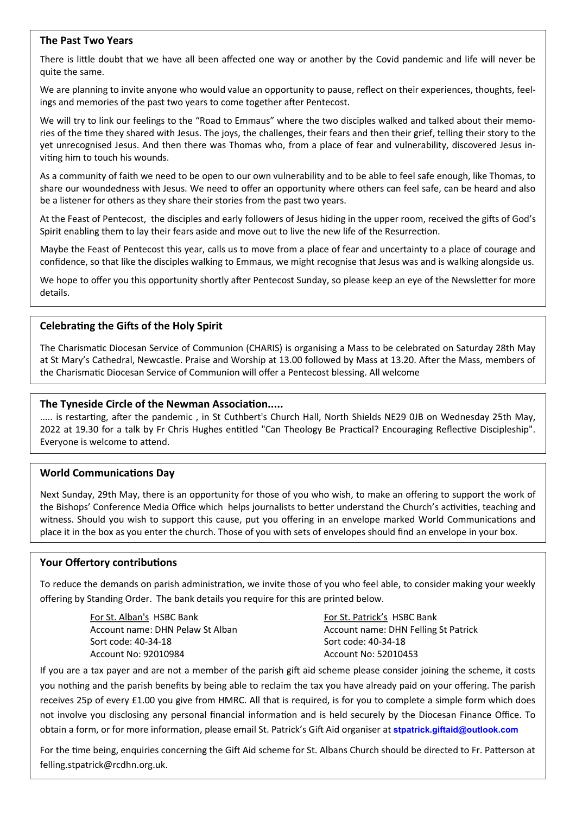### **The Past Two Years**

There is little doubt that we have all been affected one way or another by the Covid pandemic and life will never be quite the same.

We are planning to invite anyone who would value an opportunity to pause, reflect on their experiences, thoughts, feelings and memories of the past two years to come together after Pentecost.

We will try to link our feelings to the "Road to Emmaus" where the two disciples walked and talked about their memories of the time they shared with Jesus. The joys, the challenges, their fears and then their grief, telling their story to the yet unrecognised Jesus. And then there was Thomas who, from a place of fear and vulnerability, discovered Jesus inviting him to touch his wounds.

As a community of faith we need to be open to our own vulnerability and to be able to feel safe enough, like Thomas, to share our woundedness with Jesus. We need to offer an opportunity where others can feel safe, can be heard and also be a listener for others as they share their stories from the past two years.

At the Feast of Pentecost, the disciples and early followers of Jesus hiding in the upper room, received the gifts of God's Spirit enabling them to lay their fears aside and move out to live the new life of the Resurrection.

Maybe the Feast of Pentecost this year, calls us to move from a place of fear and uncertainty to a place of courage and confidence, so that like the disciples walking to Emmaus, we might recognise that Jesus was and is walking alongside us.

We hope to offer you this opportunity shortly after Pentecost Sunday, so please keep an eye of the Newsletter for more details.

# **Celebrating the Gifts of the Holy Spirit**

The Charismatic Diocesan Service of Communion (CHARIS) is organising a Mass to be celebrated on Saturday 28th May at St Mary's Cathedral, Newcastle. Praise and Worship at 13.00 followed by Mass at 13.20. After the Mass, members of the Charismatic Diocesan Service of Communion will offer a Pentecost blessing. All welcome

# **The Tyneside Circle of the Newman Association.....**

..... is restarting, after the pandemic , in St Cuthbert's Church Hall, North Shields NE29 0JB on Wednesday 25th May, 2022 at 19.30 for a talk by Fr Chris Hughes entitled "Can Theology Be Practical? Encouraging Reflective Discipleship". Everyone is welcome to attend.

# **World Communications Day**

Next Sunday, 29th May, there is an opportunity for those of you who wish, to make an offering to support the work of the Bishops' Conference Media Office which helps journalists to better understand the Church's activities, teaching and witness. Should you wish to support this cause, put you offering in an envelope marked World Communications and place it in the box as you enter the church. Those of you with sets of envelopes should find an envelope in your box.

# **Your Offertory contributions**

To reduce the demands on parish administration, we invite those of you who feel able, to consider making your weekly offering by Standing Order. The bank details you require for this are printed below.

> For St. Alban's HSBC Bank Account name: DHN Pelaw St Alban Sort code: 40-34-18 Account No: 92010984

For St. Patrick's HSBC Bank Account name: DHN Felling St Patrick Sort code: 40-34-18 Account No: 52010453

If you are a tax payer and are not a member of the parish gift aid scheme please consider joining the scheme, it costs you nothing and the parish benefits by being able to reclaim the tax you have already paid on your offering. The parish receives 25p of every £1.00 you give from HMRC. All that is required, is for you to complete a simple form which does not involve you disclosing any personal financial information and is held securely by the Diocesan Finance Office. To obtain a form, or for more information, please email St. Patrick's Gift Aid organiser at **[stpatrick.giftaid@outlook.com](mailto:stpatrick.giftaid@outlook.com)**

For the time being, enquiries concerning the Gift Aid scheme for St. Albans Church should be directed to Fr. Patterson at felling.stpatrick@rcdhn.org.uk.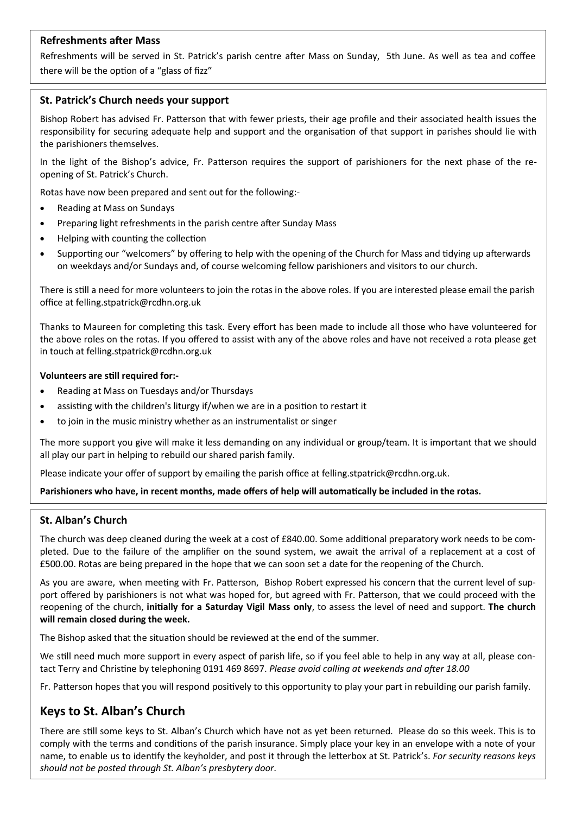# **Refreshments after Mass**

Refreshments will be served in St. Patrick's parish centre after Mass on Sunday, 5th June. As well as tea and coffee there will be the option of a "glass of fizz"

# **St. Patrick's Church needs your support**

Bishop Robert has advised Fr. Patterson that with fewer priests, their age profile and their associated health issues the responsibility for securing adequate help and support and the organisation of that support in parishes should lie with the parishioners themselves.

In the light of the Bishop's advice, Fr. Patterson requires the support of parishioners for the next phase of the reopening of St. Patrick's Church.

Rotas have now been prepared and sent out for the following:-

- Reading at Mass on Sundays
- Preparing light refreshments in the parish centre after Sunday Mass
- Helping with counting the collection
- Supporting our "welcomers" by offering to help with the opening of the Church for Mass and tidying up afterwards on weekdays and/or Sundays and, of course welcoming fellow parishioners and visitors to our church.

There is still a need for more volunteers to join the rotas in the above roles. If you are interested please email the parish office at felling.stpatrick@rcdhn.org.uk

Thanks to Maureen for completing this task. Every effort has been made to include all those who have volunteered for the above roles on the rotas. If you offered to assist with any of the above roles and have not received a rota please get in touch at felling.stpatrick@rcdhn.org.uk

### **Volunteers are still required for:-**

- Reading at Mass on Tuesdays and/or Thursdays
- assisting with the children's liturgy if/when we are in a position to restart it
- to join in the music ministry whether as an instrumentalist or singer

The more support you give will make it less demanding on any individual or group/team. It is important that we should all play our part in helping to rebuild our shared parish family.

Please indicate your offer of support by emailing the parish office at felling.stpatrick@rcdhn.org.uk.

### **Parishioners who have, in recent months, made offers of help will automatically be included in the rotas.**

# **St. Alban's Church**

The church was deep cleaned during the week at a cost of £840.00. Some additional preparatory work needs to be completed. Due to the failure of the amplifier on the sound system, we await the arrival of a replacement at a cost of £500.00. Rotas are being prepared in the hope that we can soon set a date for the reopening of the Church.

As you are aware, when meeting with Fr. Patterson, Bishop Robert expressed his concern that the current level of support offered by parishioners is not what was hoped for, but agreed with Fr. Patterson, that we could proceed with the reopening of the church, **initially for a Saturday Vigil Mass only**, to assess the level of need and support. **The church will remain closed during the week.**

The Bishop asked that the situation should be reviewed at the end of the summer.

We still need much more support in every aspect of parish life, so if you feel able to help in any way at all, please contact Terry and Christine by telephoning 0191 469 8697. *Please avoid calling at weekends and after 18.00*

Fr. Patterson hopes that you will respond positively to this opportunity to play your part in rebuilding our parish family.

# **Keys to St. Alban's Church**

There are still some keys to St. Alban's Church which have not as yet been returned. Please do so this week. This is to comply with the terms and conditions of the parish insurance. Simply place your key in an envelope with a note of your name, to enable us to identify the keyholder, and post it through the letterbox at St. Patrick's. *For security reasons keys should not be posted through St. Alban's presbytery door*.